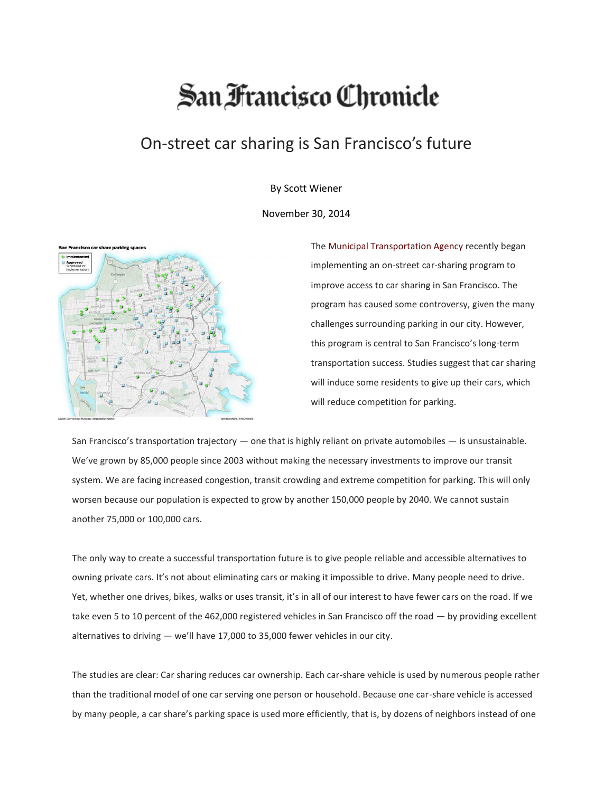## San Francisco Chronicle

## On-street car sharing is San Francisco's future

By Scott Wiener

November 30, 2014



The [Municipal Transportation Agency](http://www.sfgate.com/search/?action=search&channel=opinion&inlineLink=1&searchindex=gsa&query=%22Municipal+Transportation+Agency%22) recently began implementing an on-street car-sharing program to improve access to car sharing in San Francisco. The program has caused some controversy, given the many challenges surrounding parking in our city. However, this program is central to San Francisco's long-term transportation success. Studies suggest that car sharing will induce some residents to give up their cars, which will reduce competition for parking.

San Francisco's transportation trajectory  $-$  one that is highly reliant on private automobiles  $-$  is unsustainable. We've grown by 85,000 people since 2003 without making the necessary investments to improve our transit system. We are facing increased congestion, transit crowding and extreme competition for parking. This will only worsen because our population is expected to grow by another 150,000 people by 2040. We cannot sustain another 75,000 or 100,000 cars.

The only way to create a successful transportation future is to give people reliable and accessible alternatives to owning private cars. It's not about eliminating cars or making it impossible to drive. Many people need to drive. Yet, whether one drives, bikes, walks or uses transit, it's in all of our interest to have fewer cars on the road. If we take even 5 to 10 percent of the 462,000 registered vehicles in San Francisco off the road — by providing excellent alternatives to driving — we'll have 17,000 to 35,000 fewer vehicles in our city.

The studies are clear: Car sharing reduces car ownership. Each car-share vehicle is used by numerous people rather than the traditional model of one car serving one person or household. Because one car-share vehicle is accessed by many people, a car share's parking space is used more efficiently, that is, by dozens of neighbors instead of one